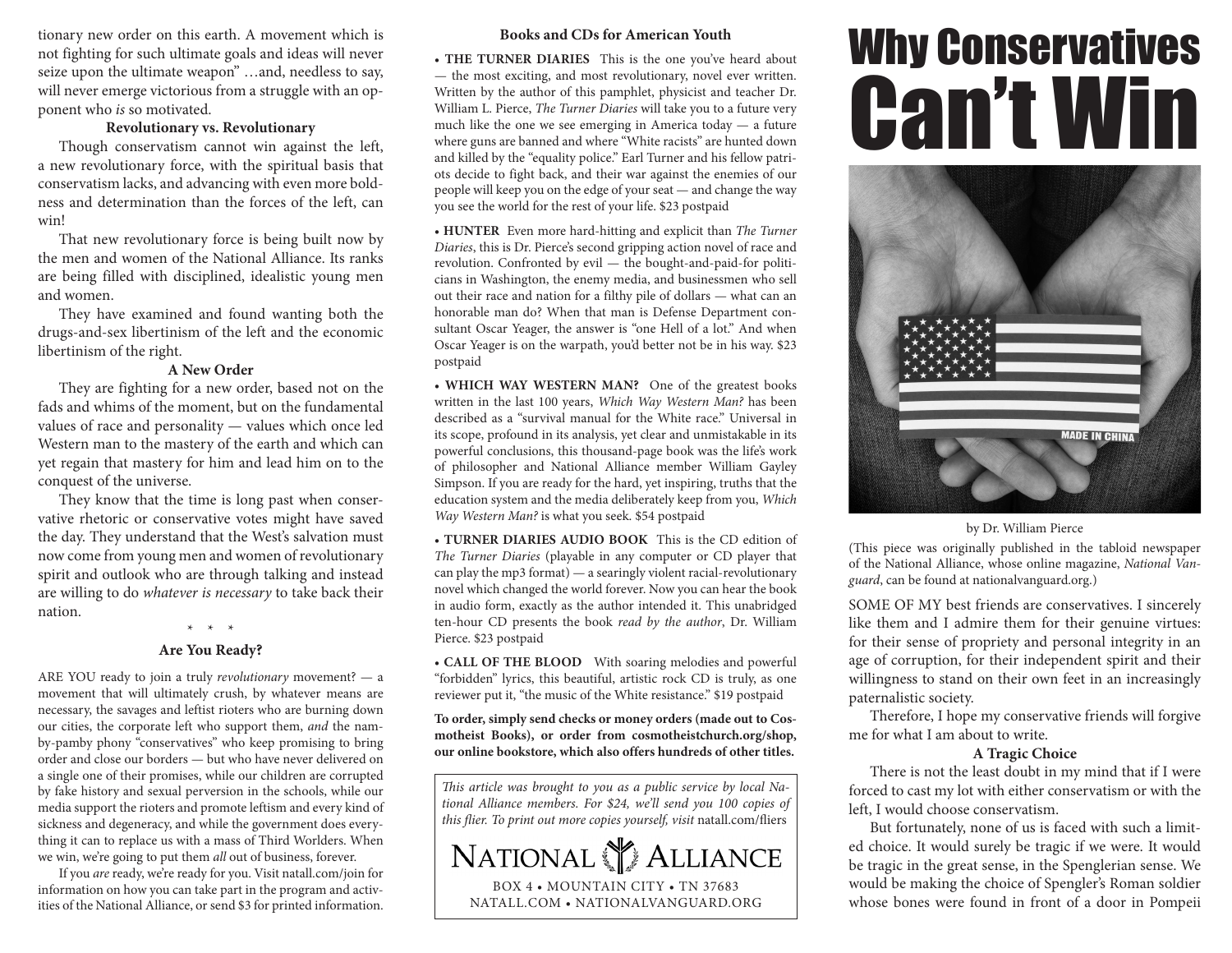tionary new order on this earth. A movement which is not fighting for such ultimate goals and ideas will never seize upon the ultimate weapon" …and, needless to say, will never emerge victorious from a struggle with an opponent who *is* so motivated.

### **Revolutionary vs. Revolutionary**

Though conservatism cannot win against the left, a new revolutionary force, with the spiritual basis that conservatism lacks, and advancing with even more boldness and determination than the forces of the left, can win!

That new revolutionary force is being built now by the men and women of the National Alliance. Its ranks are being filled with disciplined, idealistic young men and women.

They have examined and found wanting both the drugs-and-sex libertinism of the left and the economic libertinism of the right.

### **A New Order**

They are fighting for a new order, based not on the fads and whims of the moment, but on the fundamental values of race and personality — values which once led Western man to the mastery of the earth and which can yet regain that mastery for him and lead him on to the conquest of the universe.

They know that the time is long past when conservative rhetoric or conservative votes might have saved the day. They understand that the West's salvation must now come from young men and women of revolutionary spirit and outlook who are through talking and instead are willing to do *whatever is necessary* to take back their nation.

\* \* \*

# **Are You Ready?**

ARE YOU ready to join a truly *revolutionary* movement? — a movement that will ultimately crush, by whatever means are necessary, the savages and leftist rioters who are burning down our cities, the corporate left who support them, *and* the namby-pamby phony "conservatives" who keep promising to bring order and close our borders — but who have never delivered on a single one of their promises, while our children are corrupted by fake history and sexual perversion in the schools, while our media support the rioters and promote leftism and every kind of sickness and degeneracy, and while the government does everything it can to replace us with a mass of Third Worlders. When we win, we're going to put them *all* out of business, forever.

If you *are* ready, we're ready for you. Visit natall.com/join for information on how you can take part in the program and activities of the National Alliance, or send \$3 for printed information.

# **Books and CDs for American Youth**

• **THE TURNER DIARIES** This is the one you've heard about — the most exciting, and most revolutionary, novel ever written. Written by the author of this pamphlet, physicist and teacher Dr. William L. Pierce, *The Turner Diaries* will take you to a future very much like the one we see emerging in America today — a future where guns are banned and where "White racists" are hunted down and killed by the "equality police." Earl Turner and his fellow patriots decide to fight back, and their war against the enemies of our people will keep you on the edge of your seat — and change the way you see the world for the rest of your life. \$23 postpaid

• **HUNTER** Even more hard-hitting and explicit than *The Turner Diaries*, this is Dr. Pierce's second gripping action novel of race and revolution. Confronted by evil — the bought-and-paid-for politicians in Washington, the enemy media, and businessmen who sell out their race and nation for a filthy pile of dollars — what can an honorable man do? When that man is Defense Department consultant Oscar Yeager, the answer is "one Hell of a lot." And when Oscar Yeager is on the warpath, you'd better not be in his way. \$23 postpaid

• **WHICH WAY WESTERN MAN?** One of the greatest books written in the last 100 years, *Which Way Western Man?* has been described as a "survival manual for the White race." Universal in its scope, profound in its analysis, yet clear and unmistakable in its powerful conclusions, this thousand-page book was the life's work of philosopher and National Alliance member William Gayley Simpson. If you are ready for the hard, yet inspiring, truths that the education system and the media deliberately keep from you, *Which Way Western Man?* is what you seek. \$54 postpaid

• **TURNER DIARIES AUDIO BOOK** This is the CD edition of *The Turner Diaries* (playable in any computer or CD player that can play the mp3 format) — a searingly violent racial-revolutionary novel which changed the world forever. Now you can hear the book in audio form, exactly as the author intended it. This unabridged ten-hour CD presents the book *read by the author*, Dr. William Pierce. \$23 postpaid

• **CALL OF THE BLOOD** With soaring melodies and powerful "forbidden" lyrics, this beautiful, artistic rock CD is truly, as one reviewer put it, "the music of the White resistance." \$19 postpaid

**To order, simply send checks or money orders (made out to Cosmotheist Books), or order from cosmotheistchurch.org/shop, our online bookstore, which also offers hundreds of other titles.**

*This article was brought to you as a public service by local National Alliance members. For \$24, we'll send you 100 copies of this flier. To print out more copies yourself, visit* natall.com/fliers



# Why Conservatives Can't Win



### by Dr. William Pierce

(This piece was originally published in the tabloid newspaper of the National Alliance, whose online magazine, *National Vanguard*, can be found at nationalvanguard.org.)

SOME OF MY best friends are conservatives. I sincerely like them and I admire them for their genuine virtues: for their sense of propriety and personal integrity in an age of corruption, for their independent spirit and their willingness to stand on their own feet in an increasingly paternalistic society.

Therefore, I hope my conservative friends will forgive me for what I am about to write.

# **A Tragic Choice**

There is not the least doubt in my mind that if I were forced to cast my lot with either conservatism or with the left, I would choose conservatism.

But fortunately, none of us is faced with such a limited choice. It would surely be tragic if we were. It would be tragic in the great sense, in the Spenglerian sense. We would be making the choice of Spengler's Roman soldier whose bones were found in front of a door in Pompeii